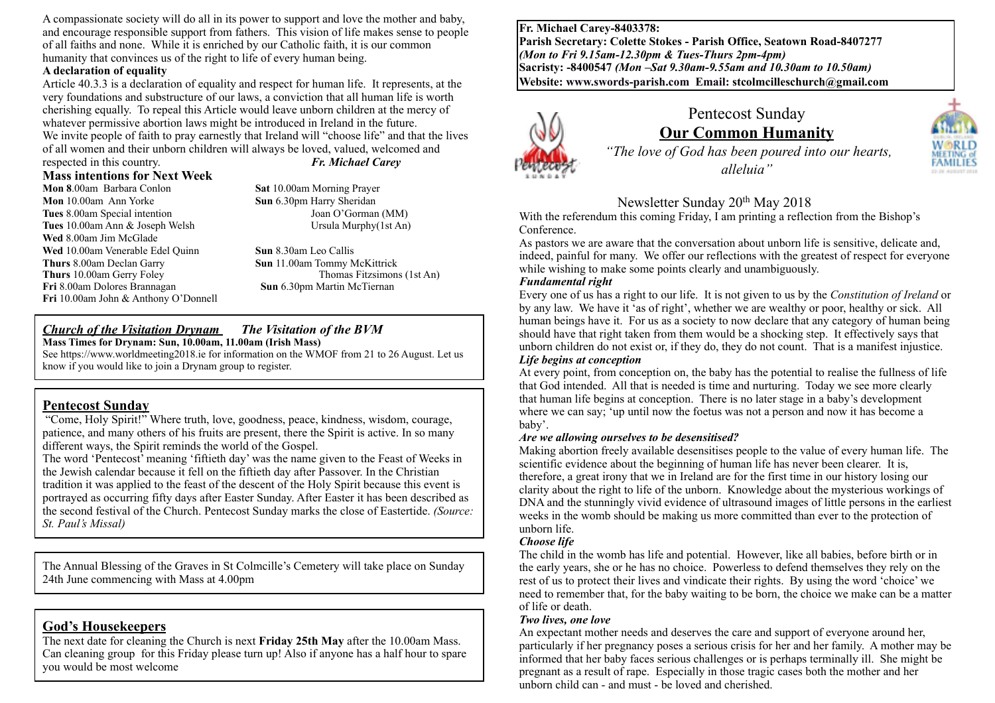A compassionate society will do all in its power to support and love the mother and baby, and encourage responsible support from fathers. This vision of life makes sense to people of all faiths and none. While it is enriched by our Catholic faith, it is our common humanity that convinces us of the right to life of every human being.

### **A declaration of equality**

Article 40.3.3 is a declaration of equality and respect for human life. It represents, at the very foundations and substructure of our laws, a conviction that all human life is worth cherishing equally. To repeal this Article would leave unborn children at the mercy of whatever permissive abortion laws might be introduced in Ireland in the future. We invite people of faith to pray earnestly that Ireland will "choose life" and that the lives of all women and their unborn children will always be loved, valued, welcomed and respected in this country. *Fr. Michael Carey*

#### **Mass intentions for Next Week**

**Mon 8**.00am Barbara Conlon **Sat** 10.00am Morning Prayer **Mon** 10.00am Ann Yorke **Sun 6.30pm Harry Sheridan Tues** 8.00am Special intention Joan O'Gorman (MM) **Tues** 10.00am Ann & Joseph Welsh Ursula Murphy(1st An) **Wed** 8.00am Jim McGlade **Wed** 10.00am Venerable Edel Quinn **Sun** 8.30am Leo Callis **Thurs** 8.00am Declan Garry **Sun** 11.00am Tommy McKittrick **Fri** 8.00am Dolores Brannagan **Sun** 6.30pm Martin McTiernan **Fri** 10.00am John & Anthony O'Donnell

**Thurs** 10.00am Gerry Foley **Thomas Fitzsimons** (1st An)

#### *Church of the Visitation Drynam**The Visitation of the BVM* **Mass Times for Drynam: Sun, 10.00am, 11.00am (Irish Mass)**

See https://www.worldmeeting2018.ie for information on the WMOF from 21 to 26 August. Let us know if you would like to join a Drynam group to register.

## **Pentecost Sunday**

"Come, Holy Spirit!" Where truth, love, goodness, peace, kindness, wisdom, courage, patience, and many others of his fruits are present, there the Spirit is active. In so many different ways, the Spirit reminds the world of the Gospel.

The word 'Pentecost' meaning 'fiftieth day' was the name given to the Feast of Weeks in the Jewish calendar because it fell on the fiftieth day after Passover. In the Christian tradition it was applied to the feast of the descent of the Holy Spirit because this event is portrayed as occurring fifty days after Easter Sunday. After Easter it has been described as the second festival of the Church. Pentecost Sunday marks the close of Eastertide. *(Source: St. Paul's Missal)*

The Annual Blessing of the Graves in St Colmcille's Cemetery will take place on Sunday 24th June commencing with Mass at 4.00pm

### **God's Housekeepers**

The next date for cleaning the Church is next **Friday 25th May** after the 10.00am Mass. Can cleaning group for this Friday please turn up! Also if anyone has a half hour to spare you would be most welcome

**Fr. Michael Carey-8403378: Parish Secretary: Colette Stokes - Parish Office, Seatown Road-8407277**  *(Mon to Fri 9.15am-12.30pm & Tues-Thurs 2pm-4pm)*  **Sacristy: -8400547** *(Mon –Sat 9.30am-9.55am and 10.30am to 10.50am)* **Website: [www.swords-parish.com Email:](http://www.swords-parish.com%20%20email) stcolmcilleschurch@gmail.com**



# Pentecost Sunday **Our Common Humanity**

 *"The love of God has been poured into our hearts, alleluia"* 

## Newsletter Sunday 20th May 2018

With the referendum this coming Friday, I am printing a reflection from the Bishop's Conference.

As pastors we are aware that the conversation about unborn life is sensitive, delicate and, indeed, painful for many. We offer our reflections with the greatest of respect for everyone while wishing to make some points clearly and unambiguously.

### *Fundamental right*

Every one of us has a right to our life. It is not given to us by the *Constitution of Ireland* or by any law. We have it 'as of right', whether we are wealthy or poor, healthy or sick. All human beings have it. For us as a society to now declare that any category of human being should have that right taken from them would be a shocking step. It effectively says that unborn children do not exist or, if they do, they do not count. That is a manifest injustice.

### *Life begins at conception*

At every point, from conception on, the baby has the potential to realise the fullness of life that God intended. All that is needed is time and nurturing. Today we see more clearly that human life begins at conception. There is no later stage in a baby's development where we can say; 'up until now the foetus was not a person and now it has become a baby'.

#### *Are we allowing ourselves to be desensitised?*

Making abortion freely available desensitises people to the value of every human life. The scientific evidence about the beginning of human life has never been clearer. It is, therefore, a great irony that we in Ireland are for the first time in our history losing our clarity about the right to life of the unborn. Knowledge about the mysterious workings of DNA and the stunningly vivid evidence of ultrasound images of little persons in the earliest weeks in the womb should be making us more committed than ever to the protection of unborn life.

#### *Choose life*

The child in the womb has life and potential. However, like all babies, before birth or in the early years, she or he has no choice. Powerless to defend themselves they rely on the rest of us to protect their lives and vindicate their rights. By using the word 'choice' we need to remember that, for the baby waiting to be born, the choice we make can be a matter of life or death.

#### *Two lives, one love*

An expectant mother needs and deserves the care and support of everyone around her, particularly if her pregnancy poses a serious crisis for her and her family. A mother may be informed that her baby faces serious challenges or is perhaps terminally ill. She might be pregnant as a result of rape. Especially in those tragic cases both the mother and her unborn child can - and must - be loved and cherished.